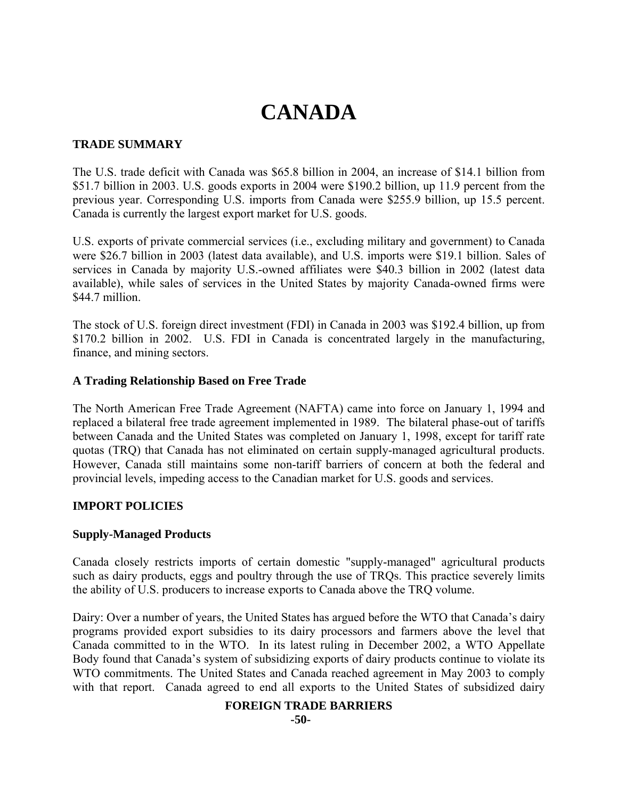# **CANADA**

# **TRADE SUMMARY**

The U.S. trade deficit with Canada was \$65.8 billion in 2004, an increase of \$14.1 billion from \$51.7 billion in 2003. U.S. goods exports in 2004 were \$190.2 billion, up 11.9 percent from the previous year. Corresponding U.S. imports from Canada were \$255.9 billion, up 15.5 percent. Canada is currently the largest export market for U.S. goods.

U.S. exports of private commercial services (i.e., excluding military and government) to Canada were \$26.7 billion in 2003 (latest data available), and U.S. imports were \$19.1 billion. Sales of services in Canada by majority U.S.-owned affiliates were \$40.3 billion in 2002 (latest data available), while sales of services in the United States by majority Canada-owned firms were \$44.7 million.

The stock of U.S. foreign direct investment (FDI) in Canada in 2003 was \$192.4 billion, up from \$170.2 billion in 2002. U.S. FDI in Canada is concentrated largely in the manufacturing, finance, and mining sectors.

#### **A Trading Relationship Based on Free Trade**

The North American Free Trade Agreement (NAFTA) came into force on January 1, 1994 and replaced a bilateral free trade agreement implemented in 1989. The bilateral phase-out of tariffs between Canada and the United States was completed on January 1, 1998, except for tariff rate quotas (TRQ) that Canada has not eliminated on certain supply-managed agricultural products. However, Canada still maintains some non-tariff barriers of concern at both the federal and provincial levels, impeding access to the Canadian market for U.S. goods and services.

#### **IMPORT POLICIES**

#### **Supply-Managed Products**

Canada closely restricts imports of certain domestic "supply-managed" agricultural products such as dairy products, eggs and poultry through the use of TRQs. This practice severely limits the ability of U.S. producers to increase exports to Canada above the TRQ volume.

Dairy: Over a number of years, the United States has argued before the WTO that Canada's dairy programs provided export subsidies to its dairy processors and farmers above the level that Canada committed to in the WTO. In its latest ruling in December 2002, a WTO Appellate Body found that Canada's system of subsidizing exports of dairy products continue to violate its WTO commitments. The United States and Canada reached agreement in May 2003 to comply with that report. Canada agreed to end all exports to the United States of subsidized dairy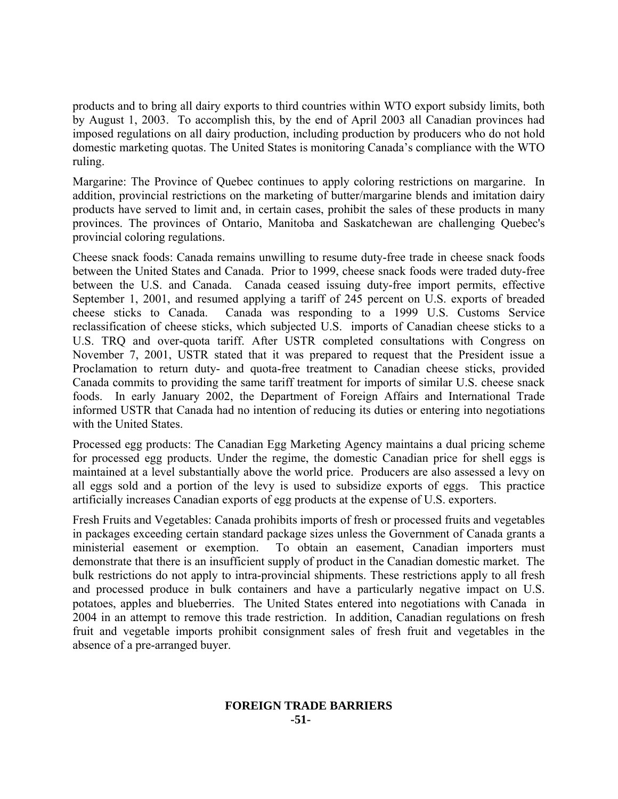products and to bring all dairy exports to third countries within WTO export subsidy limits, both by August 1, 2003. To accomplish this, by the end of April 2003 all Canadian provinces had imposed regulations on all dairy production, including production by producers who do not hold domestic marketing quotas. The United States is monitoring Canada's compliance with the WTO ruling.

Margarine: The Province of Quebec continues to apply coloring restrictions on margarine. In addition, provincial restrictions on the marketing of butter/margarine blends and imitation dairy products have served to limit and, in certain cases, prohibit the sales of these products in many provinces. The provinces of Ontario, Manitoba and Saskatchewan are challenging Quebec's provincial coloring regulations.

Cheese snack foods: Canada remains unwilling to resume duty-free trade in cheese snack foods between the United States and Canada. Prior to 1999, cheese snack foods were traded duty-free between the U.S. and Canada. Canada ceased issuing duty-free import permits, effective September 1, 2001, and resumed applying a tariff of 245 percent on U.S. exports of breaded cheese sticks to Canada. Canada was responding to a 1999 U.S. Customs Service reclassification of cheese sticks, which subjected U.S. imports of Canadian cheese sticks to a U.S. TRQ and over-quota tariff. After USTR completed consultations with Congress on November 7, 2001, USTR stated that it was prepared to request that the President issue a Proclamation to return duty- and quota-free treatment to Canadian cheese sticks, provided Canada commits to providing the same tariff treatment for imports of similar U.S. cheese snack foods. In early January 2002, the Department of Foreign Affairs and International Trade informed USTR that Canada had no intention of reducing its duties or entering into negotiations with the United States.

Processed egg products: The Canadian Egg Marketing Agency maintains a dual pricing scheme for processed egg products. Under the regime, the domestic Canadian price for shell eggs is maintained at a level substantially above the world price. Producers are also assessed a levy on all eggs sold and a portion of the levy is used to subsidize exports of eggs. This practice artificially increases Canadian exports of egg products at the expense of U.S. exporters.

Fresh Fruits and Vegetables: Canada prohibits imports of fresh or processed fruits and vegetables in packages exceeding certain standard package sizes unless the Government of Canada grants a ministerial easement or exemption. To obtain an easement, Canadian importers must demonstrate that there is an insufficient supply of product in the Canadian domestic market. The bulk restrictions do not apply to intra-provincial shipments. These restrictions apply to all fresh and processed produce in bulk containers and have a particularly negative impact on U.S. potatoes, apples and blueberries. The United States entered into negotiations with Canada in 2004 in an attempt to remove this trade restriction. In addition, Canadian regulations on fresh fruit and vegetable imports prohibit consignment sales of fresh fruit and vegetables in the absence of a pre-arranged buyer.

#### **FOREIGN TRADE BARRIERS -51-**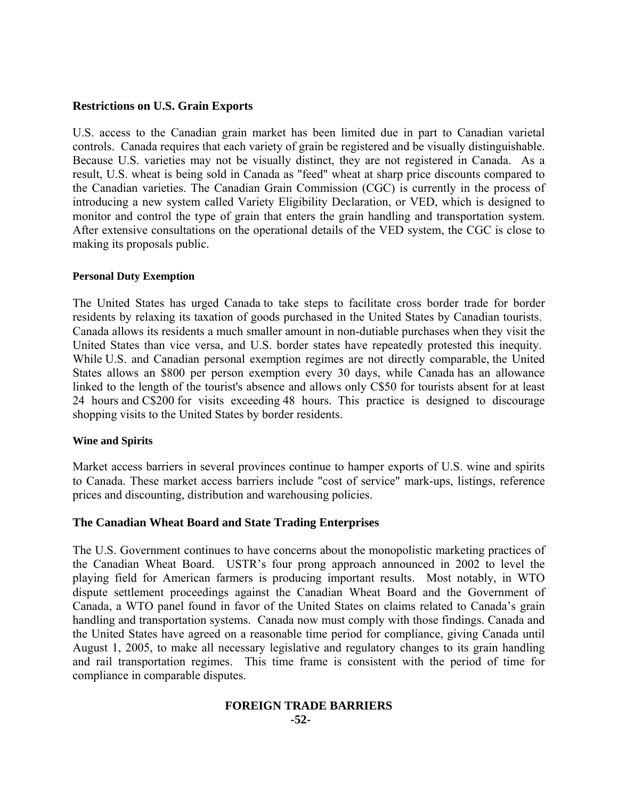#### **Restrictions on U.S. Grain Exports**

U.S. access to the Canadian grain market has been limited due in part to Canadian varietal controls. Canada requires that each variety of grain be registered and be visually distinguishable. Because U.S. varieties may not be visually distinct, they are not registered in Canada. As a result, U.S. wheat is being sold in Canada as "feed" wheat at sharp price discounts compared to the Canadian varieties. The Canadian Grain Commission (CGC) is currently in the process of introducing a new system called Variety Eligibility Declaration, or VED, which is designed to monitor and control the type of grain that enters the grain handling and transportation system. After extensive consultations on the operational details of the VED system, the CGC is close to making its proposals public.

#### **Personal Duty Exemption**

The United States has urged Canada to take steps to facilitate cross border trade for border residents by relaxing its taxation of goods purchased in the United States by Canadian tourists. Canada allows its residents a much smaller amount in non-dutiable purchases when they visit the United States than vice versa, and U.S. border states have repeatedly protested this inequity. While U.S. and Canadian personal exemption regimes are not directly comparable, the United States allows an \$800 per person exemption every 30 days, while Canada has an allowance linked to the length of the tourist's absence and allows only C\$50 for tourists absent for at least 24 hours and C\$200 for visits exceeding 48 hours. This practice is designed to discourage shopping visits to the United States by border residents.

#### **Wine and Spirits**

Market access barriers in several provinces continue to hamper exports of U.S. wine and spirits to Canada. These market access barriers include "cost of service" mark-ups, listings, reference prices and discounting, distribution and warehousing policies.

#### **The Canadian Wheat Board and State Trading Enterprises**

The U.S. Government continues to have concerns about the monopolistic marketing practices of the Canadian Wheat Board. USTR's four prong approach announced in 2002 to level the playing field for American farmers is producing important results. Most notably, in WTO dispute settlement proceedings against the Canadian Wheat Board and the Government of Canada, a WTO panel found in favor of the United States on claims related to Canada's grain handling and transportation systems. Canada now must comply with those findings. Canada and the United States have agreed on a reasonable time period for compliance, giving Canada until August 1, 2005, to make all necessary legislative and regulatory changes to its grain handling and rail transportation regimes. This time frame is consistent with the period of time for compliance in comparable disputes.

#### **FOREIGN TRADE BARRIERS -52-**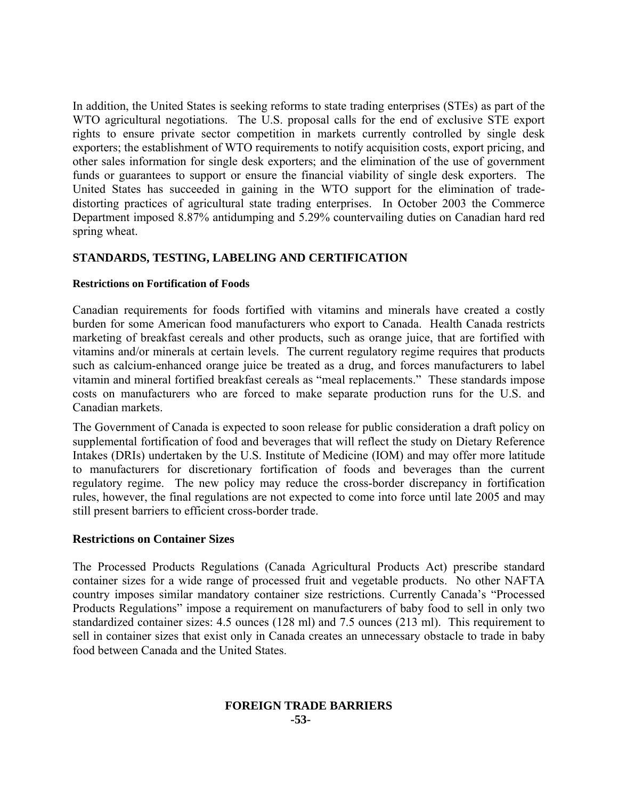In addition, the United States is seeking reforms to state trading enterprises (STEs) as part of the WTO agricultural negotiations. The U.S. proposal calls for the end of exclusive STE export rights to ensure private sector competition in markets currently controlled by single desk exporters; the establishment of WTO requirements to notify acquisition costs, export pricing, and other sales information for single desk exporters; and the elimination of the use of government funds or guarantees to support or ensure the financial viability of single desk exporters. The United States has succeeded in gaining in the WTO support for the elimination of tradedistorting practices of agricultural state trading enterprises. In October 2003 the Commerce Department imposed 8.87% antidumping and 5.29% countervailing duties on Canadian hard red spring wheat.

# **STANDARDS, TESTING, LABELING AND CERTIFICATION**

#### **Restrictions on Fortification of Foods**

Canadian requirements for foods fortified with vitamins and minerals have created a costly burden for some American food manufacturers who export to Canada. Health Canada restricts marketing of breakfast cereals and other products, such as orange juice, that are fortified with vitamins and/or minerals at certain levels. The current regulatory regime requires that products such as calcium-enhanced orange juice be treated as a drug, and forces manufacturers to label vitamin and mineral fortified breakfast cereals as "meal replacements." These standards impose costs on manufacturers who are forced to make separate production runs for the U.S. and Canadian markets.

The Government of Canada is expected to soon release for public consideration a draft policy on supplemental fortification of food and beverages that will reflect the study on Dietary Reference Intakes (DRIs) undertaken by the U.S. Institute of Medicine (IOM) and may offer more latitude to manufacturers for discretionary fortification of foods and beverages than the current regulatory regime. The new policy may reduce the cross-border discrepancy in fortification rules, however, the final regulations are not expected to come into force until late 2005 and may still present barriers to efficient cross-border trade.

#### **Restrictions on Container Sizes**

The Processed Products Regulations (Canada Agricultural Products Act) prescribe standard container sizes for a wide range of processed fruit and vegetable products. No other NAFTA country imposes similar mandatory container size restrictions. Currently Canada's "Processed Products Regulations" impose a requirement on manufacturers of baby food to sell in only two standardized container sizes: 4.5 ounces (128 ml) and 7.5 ounces (213 ml). This requirement to sell in container sizes that exist only in Canada creates an unnecessary obstacle to trade in baby food between Canada and the United States.

#### **FOREIGN TRADE BARRIERS -53-**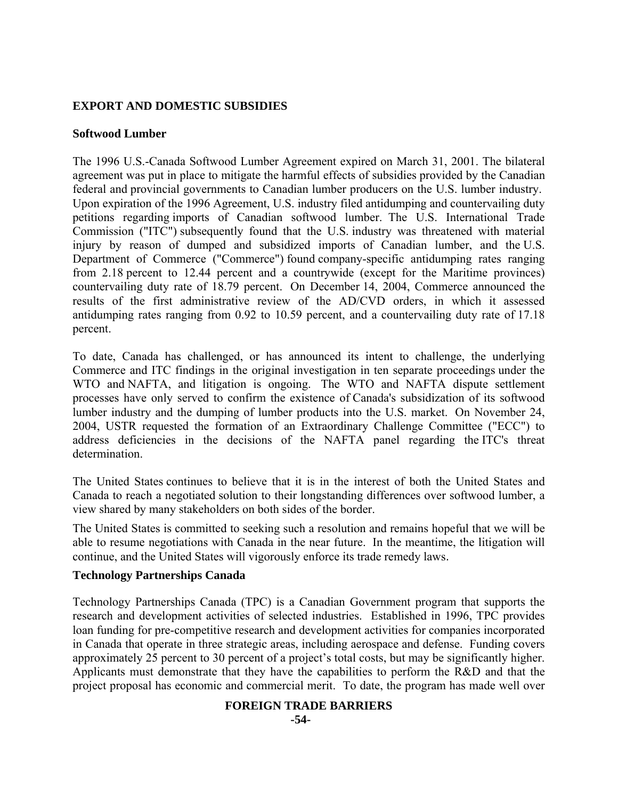# **EXPORT AND DOMESTIC SUBSIDIES**

#### **Softwood Lumber**

The 1996 U.S.-Canada Softwood Lumber Agreement expired on March 31, 2001. The bilateral agreement was put in place to mitigate the harmful effects of subsidies provided by the Canadian federal and provincial governments to Canadian lumber producers on the U.S. lumber industry. Upon expiration of the 1996 Agreement, U.S. industry filed antidumping and countervailing duty petitions regarding imports of Canadian softwood lumber. The U.S. International Trade Commission ("ITC") subsequently found that the U.S. industry was threatened with material injury by reason of dumped and subsidized imports of Canadian lumber, and the U.S. Department of Commerce ("Commerce") found company-specific antidumping rates ranging from 2.18 percent to 12.44 percent and a countrywide (except for the Maritime provinces) countervailing duty rate of 18.79 percent. On December 14, 2004, Commerce announced the results of the first administrative review of the AD/CVD orders, in which it assessed antidumping rates ranging from 0.92 to 10.59 percent, and a countervailing duty rate of 17.18 percent.

To date, Canada has challenged, or has announced its intent to challenge, the underlying Commerce and ITC findings in the original investigation in ten separate proceedings under the WTO and NAFTA, and litigation is ongoing. The WTO and NAFTA dispute settlement processes have only served to confirm the existence of Canada's subsidization of its softwood lumber industry and the dumping of lumber products into the U.S. market. On November 24, 2004, USTR requested the formation of an Extraordinary Challenge Committee ("ECC") to address deficiencies in the decisions of the NAFTA panel regarding the ITC's threat determination.

The United States continues to believe that it is in the interest of both the United States and Canada to reach a negotiated solution to their longstanding differences over softwood lumber, a view shared by many stakeholders on both sides of the border.

The United States is committed to seeking such a resolution and remains hopeful that we will be able to resume negotiations with Canada in the near future. In the meantime, the litigation will continue, and the United States will vigorously enforce its trade remedy laws.

#### **Technology Partnerships Canada**

Technology Partnerships Canada (TPC) is a Canadian Government program that supports the research and development activities of selected industries. Established in 1996, TPC provides loan funding for pre-competitive research and development activities for companies incorporated in Canada that operate in three strategic areas, including aerospace and defense. Funding covers approximately 25 percent to 30 percent of a project's total costs, but may be significantly higher. Applicants must demonstrate that they have the capabilities to perform the R&D and that the project proposal has economic and commercial merit. To date, the program has made well over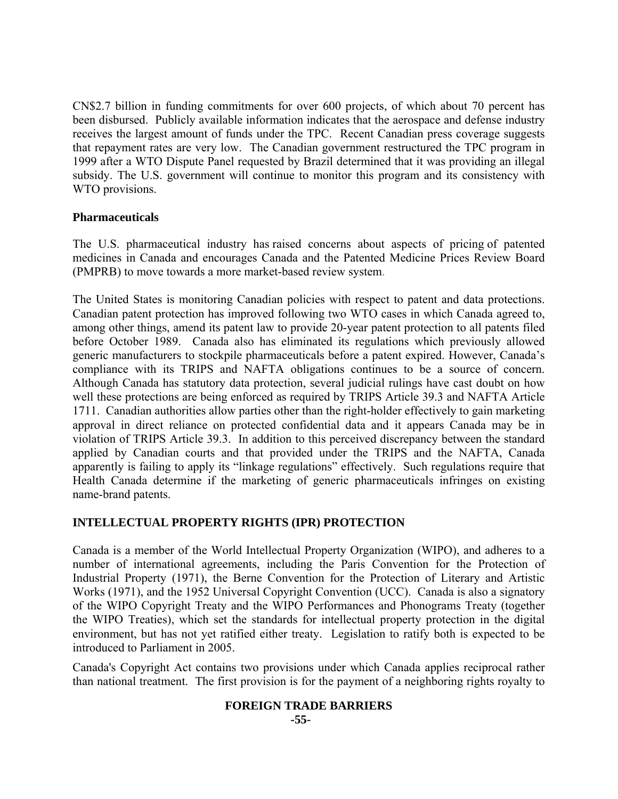CN\$2.7 billion in funding commitments for over 600 projects, of which about 70 percent has been disbursed. Publicly available information indicates that the aerospace and defense industry receives the largest amount of funds under the TPC. Recent Canadian press coverage suggests that repayment rates are very low. The Canadian government restructured the TPC program in 1999 after a WTO Dispute Panel requested by Brazil determined that it was providing an illegal subsidy. The U.S. government will continue to monitor this program and its consistency with WTO provisions.

# **Pharmaceuticals**

The U.S. pharmaceutical industry has raised concerns about aspects of pricing of patented medicines in Canada and encourages Canada and the Patented Medicine Prices Review Board (PMPRB) to move towards a more market-based review system.

The United States is monitoring Canadian policies with respect to patent and data protections. Canadian patent protection has improved following two WTO cases in which Canada agreed to, among other things, amend its patent law to provide 20-year patent protection to all patents filed before October 1989. Canada also has eliminated its regulations which previously allowed generic manufacturers to stockpile pharmaceuticals before a patent expired. However, Canada's compliance with its TRIPS and NAFTA obligations continues to be a source of concern. Although Canada has statutory data protection, several judicial rulings have cast doubt on how well these protections are being enforced as required by TRIPS Article 39.3 and NAFTA Article 1711. Canadian authorities allow parties other than the right-holder effectively to gain marketing approval in direct reliance on protected confidential data and it appears Canada may be in violation of TRIPS Article 39.3. In addition to this perceived discrepancy between the standard applied by Canadian courts and that provided under the TRIPS and the NAFTA, Canada apparently is failing to apply its "linkage regulations" effectively. Such regulations require that Health Canada determine if the marketing of generic pharmaceuticals infringes on existing name-brand patents.

# **INTELLECTUAL PROPERTY RIGHTS (IPR) PROTECTION**

Canada is a member of the World Intellectual Property Organization (WIPO), and adheres to a number of international agreements, including the Paris Convention for the Protection of Industrial Property (1971), the Berne Convention for the Protection of Literary and Artistic Works (1971), and the 1952 Universal Copyright Convention (UCC). Canada is also a signatory of the WIPO Copyright Treaty and the WIPO Performances and Phonograms Treaty (together the WIPO Treaties), which set the standards for intellectual property protection in the digital environment, but has not yet ratified either treaty. Legislation to ratify both is expected to be introduced to Parliament in 2005.

Canada's Copyright Act contains two provisions under which Canada applies reciprocal rather than national treatment. The first provision is for the payment of a neighboring rights royalty to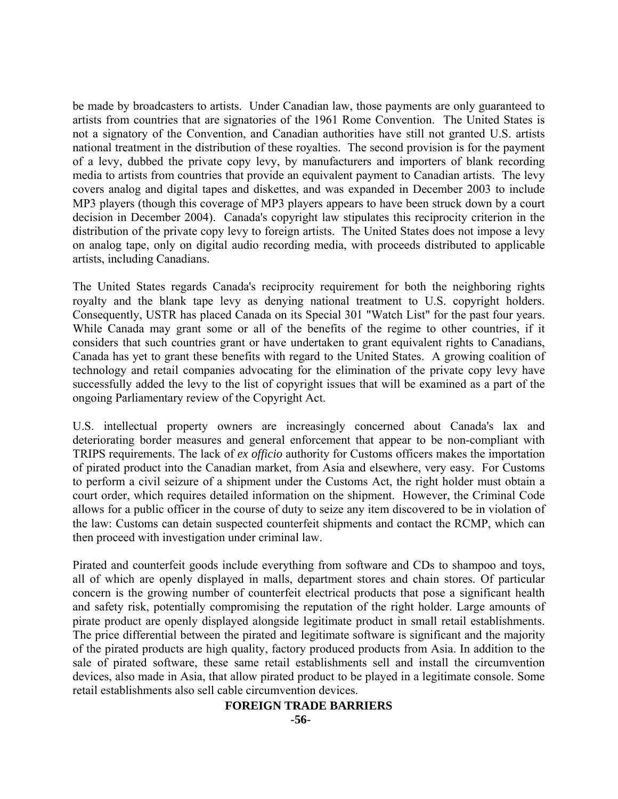be made by broadcasters to artists. Under Canadian law, those payments are only guaranteed to artists from countries that are signatories of the 1961 Rome Convention. The United States is not a signatory of the Convention, and Canadian authorities have still not granted U.S. artists national treatment in the distribution of these royalties. The second provision is for the payment of a levy, dubbed the private copy levy, by manufacturers and importers of blank recording media to artists from countries that provide an equivalent payment to Canadian artists. The levy covers analog and digital tapes and diskettes, and was expanded in December 2003 to include MP3 players (though this coverage of MP3 players appears to have been struck down by a court decision in December 2004). Canada's copyright law stipulates this reciprocity criterion in the distribution of the private copy levy to foreign artists. The United States does not impose a levy on analog tape, only on digital audio recording media, with proceeds distributed to applicable artists, including Canadians.

The United States regards Canada's reciprocity requirement for both the neighboring rights royalty and the blank tape levy as denying national treatment to U.S. copyright holders. Consequently, USTR has placed Canada on its Special 301 "Watch List" for the past four years. While Canada may grant some or all of the benefits of the regime to other countries, if it considers that such countries grant or have undertaken to grant equivalent rights to Canadians, Canada has yet to grant these benefits with regard to the United States. A growing coalition of technology and retail companies advocating for the elimination of the private copy levy have successfully added the levy to the list of copyright issues that will be examined as a part of the ongoing Parliamentary review of the Copyright Act.

U.S. intellectual property owners are increasingly concerned about Canada's lax and deteriorating border measures and general enforcement that appear to be non-compliant with TRIPS requirements. The lack of *ex officio* authority for Customs officers makes the importation of pirated product into the Canadian market, from Asia and elsewhere, very easy. For Customs to perform a civil seizure of a shipment under the Customs Act, the right holder must obtain a court order, which requires detailed information on the shipment. However, the Criminal Code allows for a public officer in the course of duty to seize any item discovered to be in violation of the law: Customs can detain suspected counterfeit shipments and contact the RCMP, which can then proceed with investigation under criminal law.

Pirated and counterfeit goods include everything from software and CDs to shampoo and toys, all of which are openly displayed in malls, department stores and chain stores. Of particular concern is the growing number of counterfeit electrical products that pose a significant health and safety risk, potentially compromising the reputation of the right holder. Large amounts of pirate product are openly displayed alongside legitimate product in small retail establishments. The price differential between the pirated and legitimate software is significant and the majority of the pirated products are high quality, factory produced products from Asia. In addition to the sale of pirated software, these same retail establishments sell and install the circumvention devices, also made in Asia, that allow pirated product to be played in a legitimate console. Some retail establishments also sell cable circumvention devices.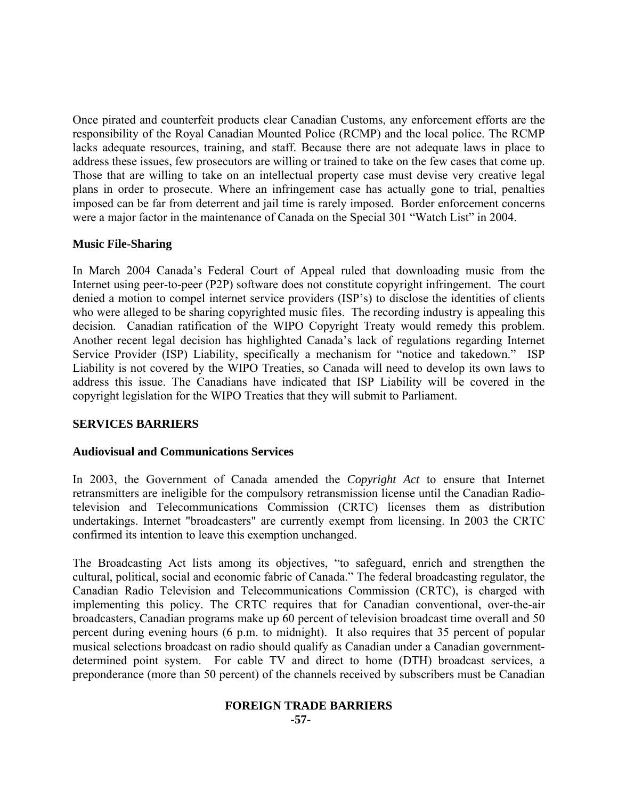Once pirated and counterfeit products clear Canadian Customs, any enforcement efforts are the responsibility of the Royal Canadian Mounted Police (RCMP) and the local police. The RCMP lacks adequate resources, training, and staff. Because there are not adequate laws in place to address these issues, few prosecutors are willing or trained to take on the few cases that come up. Those that are willing to take on an intellectual property case must devise very creative legal plans in order to prosecute. Where an infringement case has actually gone to trial, penalties imposed can be far from deterrent and jail time is rarely imposed. Border enforcement concerns were a major factor in the maintenance of Canada on the Special 301 "Watch List" in 2004.

# **Music File-Sharing**

In March 2004 Canada's Federal Court of Appeal ruled that downloading music from the Internet using peer-to-peer (P2P) software does not constitute copyright infringement. The court denied a motion to compel internet service providers (ISP's) to disclose the identities of clients who were alleged to be sharing copyrighted music files. The recording industry is appealing this decision. Canadian ratification of the WIPO Copyright Treaty would remedy this problem. Another recent legal decision has highlighted Canada's lack of regulations regarding Internet Service Provider (ISP) Liability, specifically a mechanism for "notice and takedown." ISP Liability is not covered by the WIPO Treaties, so Canada will need to develop its own laws to address this issue. The Canadians have indicated that ISP Liability will be covered in the copyright legislation for the WIPO Treaties that they will submit to Parliament.

#### **SERVICES BARRIERS**

#### **Audiovisual and Communications Services**

In 2003, the Government of Canada amended the *Copyright Act* to ensure that Internet retransmitters are ineligible for the compulsory retransmission license until the Canadian Radiotelevision and Telecommunications Commission (CRTC) licenses them as distribution undertakings. Internet "broadcasters" are currently exempt from licensing. In 2003 the CRTC confirmed its intention to leave this exemption unchanged.

The Broadcasting Act lists among its objectives, "to safeguard, enrich and strengthen the cultural, political, social and economic fabric of Canada." The federal broadcasting regulator, the Canadian Radio Television and Telecommunications Commission (CRTC), is charged with implementing this policy. The CRTC requires that for Canadian conventional, over-the-air broadcasters, Canadian programs make up 60 percent of television broadcast time overall and 50 percent during evening hours (6 p.m. to midnight). It also requires that 35 percent of popular musical selections broadcast on radio should qualify as Canadian under a Canadian governmentdetermined point system. For cable TV and direct to home (DTH) broadcast services, a preponderance (more than 50 percent) of the channels received by subscribers must be Canadian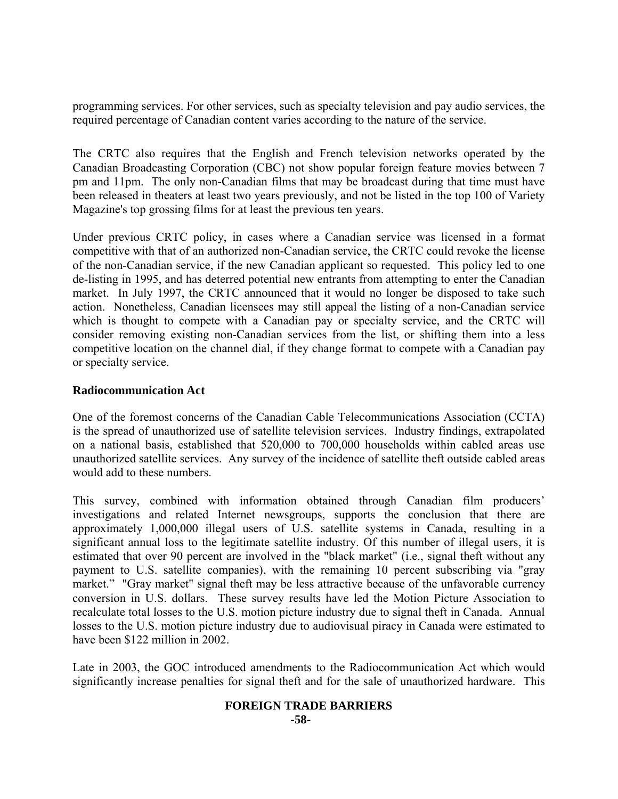programming services. For other services, such as specialty television and pay audio services, the required percentage of Canadian content varies according to the nature of the service.

The CRTC also requires that the English and French television networks operated by the Canadian Broadcasting Corporation (CBC) not show popular foreign feature movies between 7 pm and 11pm. The only non-Canadian films that may be broadcast during that time must have been released in theaters at least two years previously, and not be listed in the top 100 of Variety Magazine's top grossing films for at least the previous ten years.

Under previous CRTC policy, in cases where a Canadian service was licensed in a format competitive with that of an authorized non-Canadian service, the CRTC could revoke the license of the non-Canadian service, if the new Canadian applicant so requested. This policy led to one de-listing in 1995, and has deterred potential new entrants from attempting to enter the Canadian market. In July 1997, the CRTC announced that it would no longer be disposed to take such action. Nonetheless, Canadian licensees may still appeal the listing of a non-Canadian service which is thought to compete with a Canadian pay or specialty service, and the CRTC will consider removing existing non-Canadian services from the list, or shifting them into a less competitive location on the channel dial, if they change format to compete with a Canadian pay or specialty service.

#### **Radiocommunication Act**

One of the foremost concerns of the Canadian Cable Telecommunications Association (CCTA) is the spread of unauthorized use of satellite television services. Industry findings, extrapolated on a national basis, established that 520,000 to 700,000 households within cabled areas use unauthorized satellite services. Any survey of the incidence of satellite theft outside cabled areas would add to these numbers.

This survey, combined with information obtained through Canadian film producers' investigations and related Internet newsgroups, supports the conclusion that there are approximately 1,000,000 illegal users of U.S. satellite systems in Canada, resulting in a significant annual loss to the legitimate satellite industry. Of this number of illegal users, it is estimated that over 90 percent are involved in the "black market" (i.e., signal theft without any payment to U.S. satellite companies), with the remaining 10 percent subscribing via "gray market." "Gray market" signal theft may be less attractive because of the unfavorable currency conversion in U.S. dollars. These survey results have led the Motion Picture Association to recalculate total losses to the U.S. motion picture industry due to signal theft in Canada. Annual losses to the U.S. motion picture industry due to audiovisual piracy in Canada were estimated to have been \$122 million in 2002.

Late in 2003, the GOC introduced amendments to the Radiocommunication Act which would significantly increase penalties for signal theft and for the sale of unauthorized hardware. This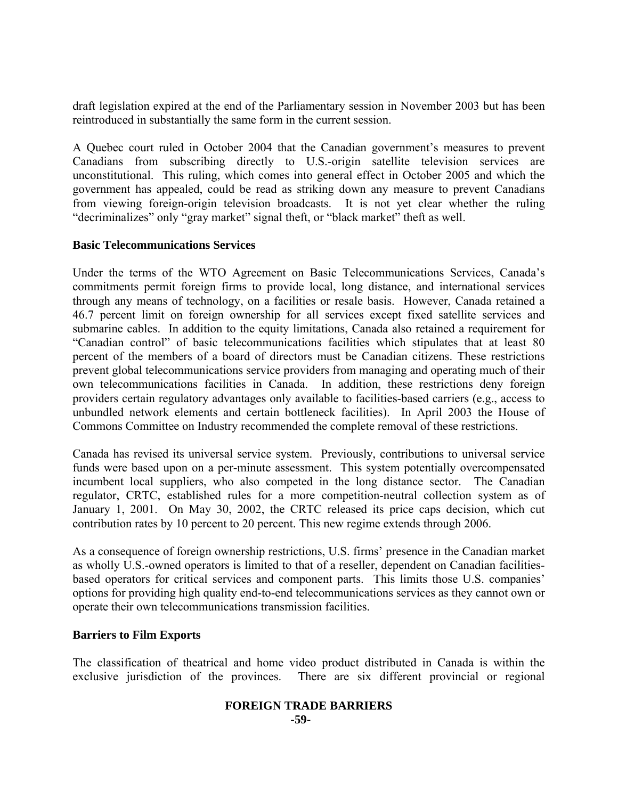draft legislation expired at the end of the Parliamentary session in November 2003 but has been reintroduced in substantially the same form in the current session.

A Quebec court ruled in October 2004 that the Canadian government's measures to prevent Canadians from subscribing directly to U.S.-origin satellite television services are unconstitutional. This ruling, which comes into general effect in October 2005 and which the government has appealed, could be read as striking down any measure to prevent Canadians from viewing foreign-origin television broadcasts. It is not yet clear whether the ruling "decriminalizes" only "gray market" signal theft, or "black market" theft as well.

#### **Basic Telecommunications Services**

Under the terms of the WTO Agreement on Basic Telecommunications Services, Canada's commitments permit foreign firms to provide local, long distance, and international services through any means of technology, on a facilities or resale basis. However, Canada retained a 46.7 percent limit on foreign ownership for all services except fixed satellite services and submarine cables. In addition to the equity limitations, Canada also retained a requirement for "Canadian control" of basic telecommunications facilities which stipulates that at least 80 percent of the members of a board of directors must be Canadian citizens. These restrictions prevent global telecommunications service providers from managing and operating much of their own telecommunications facilities in Canada. In addition, these restrictions deny foreign providers certain regulatory advantages only available to facilities-based carriers (e.g., access to unbundled network elements and certain bottleneck facilities). In April 2003 the House of Commons Committee on Industry recommended the complete removal of these restrictions.

Canada has revised its universal service system. Previously, contributions to universal service funds were based upon on a per-minute assessment. This system potentially overcompensated incumbent local suppliers, who also competed in the long distance sector. The Canadian regulator, CRTC, established rules for a more competition-neutral collection system as of January 1, 2001. On May 30, 2002, the CRTC released its price caps decision, which cut contribution rates by 10 percent to 20 percent. This new regime extends through 2006.

As a consequence of foreign ownership restrictions, U.S. firms' presence in the Canadian market as wholly U.S.-owned operators is limited to that of a reseller, dependent on Canadian facilitiesbased operators for critical services and component parts. This limits those U.S. companies' options for providing high quality end-to-end telecommunications services as they cannot own or operate their own telecommunications transmission facilities.

#### **Barriers to Film Exports**

The classification of theatrical and home video product distributed in Canada is within the exclusive jurisdiction of the provinces. There are six different provincial or regional

#### **FOREIGN TRADE BARRIERS -59-**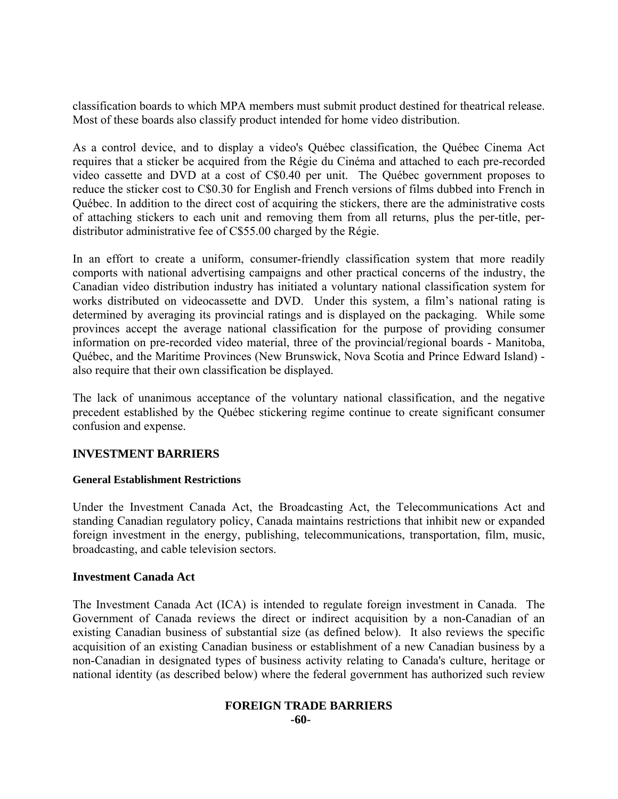classification boards to which MPA members must submit product destined for theatrical release. Most of these boards also classify product intended for home video distribution.

As a control device, and to display a video's Québec classification, the Québec Cinema Act requires that a sticker be acquired from the Régie du Cinéma and attached to each pre-recorded video cassette and DVD at a cost of C\$0.40 per unit. The Québec government proposes to reduce the sticker cost to C\$0.30 for English and French versions of films dubbed into French in Québec. In addition to the direct cost of acquiring the stickers, there are the administrative costs of attaching stickers to each unit and removing them from all returns, plus the per-title, perdistributor administrative fee of C\$55.00 charged by the Régie.

In an effort to create a uniform, consumer-friendly classification system that more readily comports with national advertising campaigns and other practical concerns of the industry, the Canadian video distribution industry has initiated a voluntary national classification system for works distributed on videocassette and DVD. Under this system, a film's national rating is determined by averaging its provincial ratings and is displayed on the packaging. While some provinces accept the average national classification for the purpose of providing consumer information on pre-recorded video material, three of the provincial/regional boards - Manitoba, Québec, and the Maritime Provinces (New Brunswick, Nova Scotia and Prince Edward Island) also require that their own classification be displayed.

The lack of unanimous acceptance of the voluntary national classification, and the negative precedent established by the Québec stickering regime continue to create significant consumer confusion and expense.

#### **INVESTMENT BARRIERS**

#### **General Establishment Restrictions**

Under the Investment Canada Act, the Broadcasting Act, the Telecommunications Act and standing Canadian regulatory policy, Canada maintains restrictions that inhibit new or expanded foreign investment in the energy, publishing, telecommunications, transportation, film, music, broadcasting, and cable television sectors.

#### **Investment Canada Act**

The Investment Canada Act (ICA) is intended to regulate foreign investment in Canada. The Government of Canada reviews the direct or indirect acquisition by a non-Canadian of an existing Canadian business of substantial size (as defined below). It also reviews the specific acquisition of an existing Canadian business or establishment of a new Canadian business by a non-Canadian in designated types of business activity relating to Canada's culture, heritage or national identity (as described below) where the federal government has authorized such review

#### **FOREIGN TRADE BARRIERS -60-**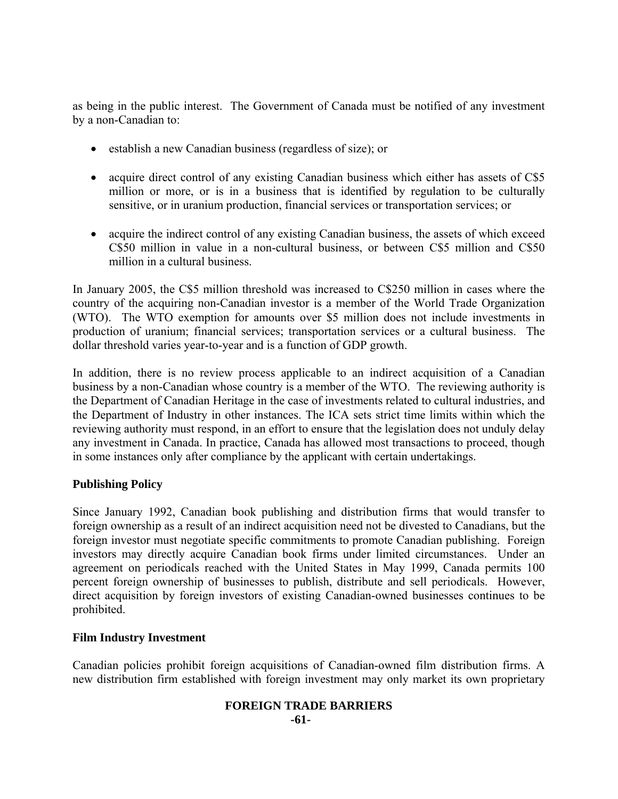as being in the public interest. The Government of Canada must be notified of any investment by a non-Canadian to:

- establish a new Canadian business (regardless of size); or
- acquire direct control of any existing Canadian business which either has assets of C\$5 million or more, or is in a business that is identified by regulation to be culturally sensitive, or in uranium production, financial services or transportation services; or
- acquire the indirect control of any existing Canadian business, the assets of which exceed C\$50 million in value in a non-cultural business, or between C\$5 million and C\$50 million in a cultural business.

In January 2005, the C\$5 million threshold was increased to C\$250 million in cases where the country of the acquiring non-Canadian investor is a member of the World Trade Organization (WTO). The WTO exemption for amounts over \$5 million does not include investments in production of uranium; financial services; transportation services or a cultural business. The dollar threshold varies year-to-year and is a function of GDP growth.

In addition, there is no review process applicable to an indirect acquisition of a Canadian business by a non-Canadian whose country is a member of the WTO. The reviewing authority is the Department of Canadian Heritage in the case of investments related to cultural industries, and the Department of Industry in other instances. The ICA sets strict time limits within which the reviewing authority must respond, in an effort to ensure that the legislation does not unduly delay any investment in Canada. In practice, Canada has allowed most transactions to proceed, though in some instances only after compliance by the applicant with certain undertakings.

# **Publishing Policy**

Since January 1992, Canadian book publishing and distribution firms that would transfer to foreign ownership as a result of an indirect acquisition need not be divested to Canadians, but the foreign investor must negotiate specific commitments to promote Canadian publishing. Foreign investors may directly acquire Canadian book firms under limited circumstances. Under an agreement on periodicals reached with the United States in May 1999, Canada permits 100 percent foreign ownership of businesses to publish, distribute and sell periodicals. However, direct acquisition by foreign investors of existing Canadian-owned businesses continues to be prohibited.

# **Film Industry Investment**

Canadian policies prohibit foreign acquisitions of Canadian-owned film distribution firms. A new distribution firm established with foreign investment may only market its own proprietary

#### **FOREIGN TRADE BARRIERS -61-**